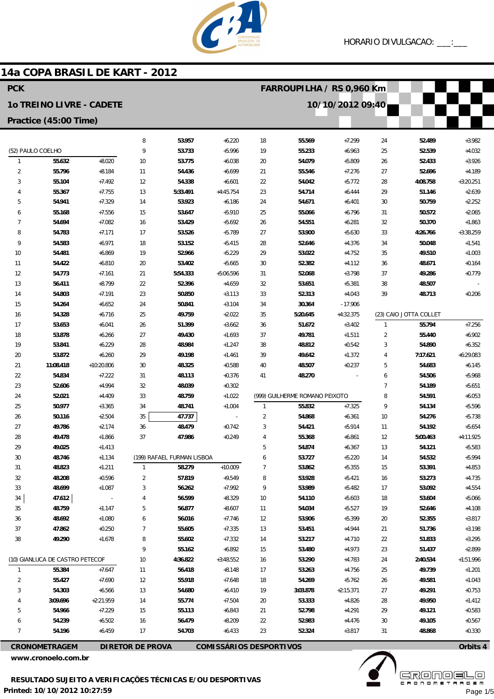

## 14a COPA BRASIL DE KART - 2012

| <b>PCK</b>                      |                      |                      |                         |                            |                                | FARROUPILHA / RS 0,960 Km |                                |                       |                |                        |                      |
|---------------------------------|----------------------|----------------------|-------------------------|----------------------------|--------------------------------|---------------------------|--------------------------------|-----------------------|----------------|------------------------|----------------------|
| <b>10 TREINO LIVRE - CADETE</b> |                      |                      |                         |                            |                                |                           |                                | 10/10/2012 09:40      |                |                        |                      |
| Practice (45:00 Time)           |                      |                      |                         |                            |                                |                           |                                |                       |                |                        |                      |
|                                 |                      |                      | 8                       | 53.957                     | $+6.220$                       | 18                        | 55.569                         | $+7.299$              | 24             | 52.489                 | $+3.982$             |
| (52) PAULO COELHO               |                      |                      | 9                       | 53.733                     | $+5.996$                       | 19                        | 55.233                         | $+6.963$              | 25             | 52.539                 | $+4.032$             |
| $\mathbf{1}$                    | 55.632               | $+8.020$             | 10                      | 53.775                     | $+6.038$                       | 20                        | 54.079                         | $+5.809$              | 26             | 52.433                 | $+3.926$             |
| $\overline{2}$                  | 55.796               | $+8.184$             | 11                      | 54.436                     | $+6.699$                       | 21                        | 55.546                         | $+7.276$              | 27             | 52.696                 | $+4.189$             |
| 3                               | 55.104               | $+7.492$             | 12                      | 54.338                     | $+6.601$                       | 22                        | 54.042                         | $+5.772$              | 28             | 4:08.758               | $+3:20.251$          |
| 4                               | 55.367               | $+7.755$             | 13                      | 5:33.491                   | $+4:45.754$                    | 23                        | 54.714                         | $+6.444$              | 29             | 51.146                 | $+2.639$             |
| 5                               | 54.941               | $+7.329$             | 14                      | 53.923                     | $+6.186$                       | 24                        | 54.671                         | $+6.401$              | 30             | 50.759                 | $+2.252$             |
| 6                               | 55.168               | $+7.556$             | 15                      | 53.647                     | $+5.910$                       | 25                        | 55.066                         | $+6.796$              | 31             | 50.572                 | $+2.065$             |
| 7                               | 54.694               | $+7.082$             | 16                      | 53.429                     | $+5.692$                       | 26                        | 54.551                         | $+6.281$              | 32             | 50.370                 | $+1.863$             |
| 8                               | 54.783               | $+7.171$             | 17                      | 53.526                     | $+5.789$                       | 27                        | 53.900                         | $+5.630$              | 33             | 4:26.766               | $+3:38.259$          |
| 9                               | 54.583               | $+6.971$             | 18                      | 53.152                     | $+5.415$                       | 28                        | 52.646                         | $+4.376$              | 34             | 50.048                 | $+1.541$             |
| 10                              | 54.481               | $+6.869$             | 19                      | 52.966                     | $+5.229$                       | 29                        | 53.022                         | $+4.752$              | 35             | 49.510                 | $+1.003$             |
| 11                              | 54.422               | $+6.810$             | 20                      | 53.402                     | $+5.665$                       | 30                        | 52.382                         | $+4.112$              | 36             | 48.671                 | $+0.164$             |
| 12                              | 54.773               | $+7.161$             | 21                      | 5:54.333                   | +5:06.596                      | 31                        | 52.068                         | $+3.798$              | 37             | 49.286                 | $+0.779$             |
| 13                              | 56.411               | $+8.799$             | 22                      | 52.396<br>50.850           | $+4.659$                       | 32                        | 53.651                         | $+5.381$              | 38<br>39       | 48.507                 |                      |
| 14<br>15                        | 54.803<br>54.264     | $+7.191$<br>$+6.652$ | 23<br>24                | 50.841                     | $+3.113$<br>$+3.104$           | 33<br>34                  | 52.313<br>30.364               | $+4.043$<br>$-17.906$ |                | 48.713                 | $+0.206$             |
| 16                              | 54.328               | $+6.716$             | 25                      | 49.759                     | $+2.022$                       | 35                        | 5:20.645                       | $+4:32.375$           |                | (23) CAIO JOTTA COLLET |                      |
| 17                              | 53.653               | $+6.041$             | 26                      | 51.399                     | $+3.662$                       | 36                        | 51.672                         | $+3.402$              | $\mathbf{1}$   | 55.794                 | $+7.256$             |
| 18                              | 53.878               | $+6.266$             | 27                      | 49.430                     | $+1.693$                       | 37                        | 49.781                         | $+1.511$              | $\overline{2}$ | 55.440                 | $+6.902$             |
| 19                              | 53.841               | $+6.229$             | 28                      | 48.984                     | $+1.247$                       | 38                        | 48.812                         | $+0.542$              | 3              | 54.890                 | $+6.352$             |
| 20                              | 53.872               | $+6.260$             | 29                      | 49.198                     | $+1.461$                       | 39                        | 49.642                         | $+1.372$              | 4              | 7:17.621               | $+6:29.083$          |
| 21                              | 11:08.418            | $+10:20.806$         | 30                      | 48.325                     | $+0.588$                       | 40                        | 48.507                         | $+0.237$              | 5              | 54.683                 | $+6.145$             |
| 22                              | 54.834               | $+7.222$             | 31                      | 48.113                     | $+0.376$                       | 41                        | 48.270                         |                       | 6              | 54.506                 | $+5.968$             |
| 23                              | 52.606               | $+4.994$             | 32                      | 48.039                     | $+0.302$                       |                           |                                |                       | $\overline{7}$ | 54.189                 | $+5.651$             |
| 24                              | 52.021               | $+4.409$             | 33                      | 48.759                     | $+1.022$                       |                           | (999) GUILHERME ROMANO PEIXOTO |                       | 8              | 54.591                 | $+6.053$             |
| 25                              | 50.977               | $+3.365$             | 34                      | 48.741                     | $+1.004$                       | $\mathbf{1}$              | 55.832                         | $+7.325$              | 9              | 54.134                 | $+5.596$             |
| 26                              | 50.116               | $+2.504$             | 35                      | 47.737                     |                                | $\overline{2}$            | 54.868                         | $+6.361$              | 10             | 54.276                 | $+5.738$             |
| 27                              | 49.786               | $+2.174$             | 36                      | 48.479                     | $+0.742$                       | 3                         | 54.421                         | $+5.914$              | 11             | 54.192                 | $+5.654$             |
| 28                              | 49.478               | $+1.866$             | 37                      | 47.986                     | $+0.249$                       | 4                         | 55.368                         | $+6.861$              | 12             | 5:00.463               | $+4:11.925$          |
| 29                              | 49.025               | $+1.413$             |                         |                            |                                | 5                         | 54.874                         | $+6.367$              | 13             | 54.121                 | $+5.583$             |
| 30                              | 48.746               | $+1.134$             |                         | (199) RAFAEL FURMAN LISBOA |                                | 6                         | 53.727                         | $+5.220$              | 14             | 54.532                 | $+5.994$             |
| 31                              | 48.823               | $+1.211$             | $\mathbf{1}$            | 58.279                     | $+10.009$                      | 7                         | 53.862                         | $+5.355$              | 15             | 53.391                 | $+4.853$             |
| 32                              | 48.208               | $+0.596$             | 2                       | 57.819                     | $+9.549$                       | 8                         | 53.928                         | $+5.421$              | 16             | 53.273                 | $+4.735$             |
| 33                              | 48.699               | $+1.087$             | 3                       | 56.262                     | $+7.992$                       | 9                         | 53.989                         | $+5.482$              | 17             | 53.092                 | $+4.554$             |
| 34                              | 47.612               |                      |                         | 56.599                     | $+8.329$                       | 10                        | 54.110                         | $+5.603$              | 18             | 53.604                 | $+5.066$             |
| 35                              | 48.759               | $+1.147$             | 5                       | 56.877                     | $+8.607$                       | 11                        | 54.034                         | $+5.527$              | 19             | 52.646                 | $+4.108$             |
| 36                              | 48.692               | $+1.080$             | 6                       | 56.016                     | $+7.746$                       | 12                        | 53.906                         | $+5.399$              | 20             | 52.355                 | $+3.817$             |
| 37<br>38                        | 47.862<br>49.290     | $+0.250$<br>$+1.678$ | 7                       | 55.605<br>55.602           | $+7.335$<br>$+7.332$           | 13                        | 53.451                         | $+4.944$<br>$+4.710$  | 21             | 51.736                 | $+3.198$<br>$+3.295$ |
|                                 |                      |                      | 8<br>9                  | 55.162                     | $+6.892$                       | 14<br>15                  | 53.217<br>53.480               | $+4.973$              | 22<br>23       | 51.833<br>51.437       | $+2.899$             |
| (10) GIANLUCA DE CASTRO PETECOF |                      |                      | 10                      | 4:36.822                   | $+3:48.552$                    | 16                        | 53.290                         | $+4.783$              | 24             | 2:40.534               | $+1:51.996$          |
| $\mathbf{1}$                    | 55.384               | $+7.647$             | 11                      | 56.418                     | $+8.148$                       | 17                        | 53.263                         | $+4.756$              | 25             | 49.739                 | $+1.201$             |
| $\overline{2}$                  | 55.427               | $+7.690$             | 12                      | 55.918                     | $+7.648$                       | 18                        | 54.269                         | $+5.762$              | 26             | 49.581                 | $+1.043$             |
| 3                               | 54.303               | $+6.566$             | 13                      | 54.680                     | $+6.410$                       | 19                        | 3:03.878                       | $+2:15.371$           | 27             | 49.291                 | $+0.753$             |
|                                 | 3:09.696             | $+2:21.959$          | 14                      | 55.774                     | $+7.504$                       | 20                        | 53.333                         | $+4.826$              | 28             | 49.950                 | $+1.412$             |
| 5                               | 54.966               | $+7.229$             | 15                      | 55.113                     | $+6.843$                       | 21                        | 52.798                         | $+4.291$              | 29             | 49.121                 | $+0.583$             |
| 6                               | 54.239               | $+6.502$             | 16                      | 56.479                     | $+8.209$                       | 22                        | 52.983                         | $+4.476$              | 30             | 49.105                 | $+0.567$             |
| 7                               | 54.196               | $+6.459$             | 17                      | 54.703                     | $+6.433$                       | 23                        | 52.324                         | $+3.817$              | 31             | 48.868                 | $+0.330$             |
|                                 | <b>CRONOMETRAGEM</b> |                      | <b>DIRETOR DE PROVA</b> |                            | <b>COMISSÁRIOS DESPORTIVOS</b> |                           |                                |                       |                |                        | Orbits 4             |

www.cronoelo.com.br



Page 1/5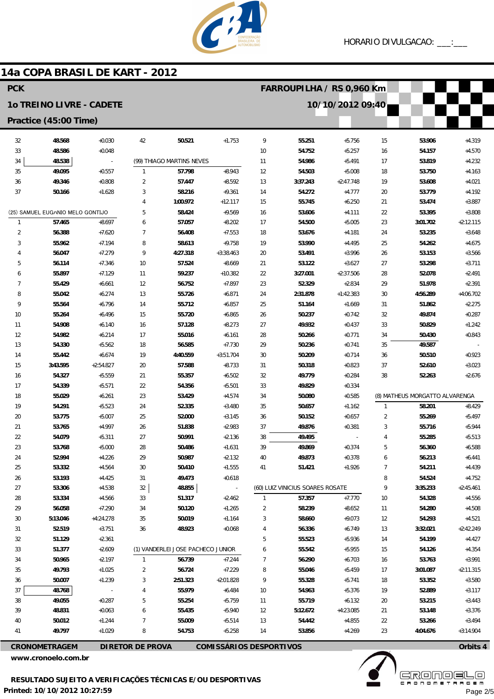

# 14a COPA BRASIL DE KART - 2012

| <b>PCK</b>                       |                  |                          |                         |                                   |                                |              | FARROUPILHA / RS 0,960 Km        |                      |                |                                |                         |  |  |
|----------------------------------|------------------|--------------------------|-------------------------|-----------------------------------|--------------------------------|--------------|----------------------------------|----------------------|----------------|--------------------------------|-------------------------|--|--|
| 10 TREINO LIVRE - CADETE         |                  |                          |                         |                                   |                                |              |                                  | 10/10/2012 09:40     |                |                                |                         |  |  |
| Practice (45:00 Time)            |                  |                          |                         |                                   |                                |              |                                  |                      |                |                                |                         |  |  |
| 32                               | 48.568           | $+0.030$                 | 42                      | 50.521                            | $+1.753$                       | 9            | 55.251                           | $+5.756$             | 15             | 53.906                         | $+4.319$                |  |  |
| 33                               | 48.586           | $+0.048$                 |                         |                                   |                                | 10           | 54.752                           | $+5.257$             | 16             | 54.157                         | $+4.570$                |  |  |
| 34                               | 48.538           | $\overline{\phantom{a}}$ |                         | (99) THIAGO MARTINS NEVES         |                                | 11           | 54.986                           | $+5.491$             | 17             | 53.819                         | $+4.232$                |  |  |
| 35                               | 49.095           | $+0.557$                 | $\mathbf{1}$            | 57.798                            | $+8.943$                       | 12           | 54.503                           | $+5.008$             | 18             | 53.750                         | $+4.163$                |  |  |
| 36                               | 49.346           | $+0.808$                 | 2                       | 57.447                            | $+8.592$                       | 13           | 3:37.243                         | $+2:47.748$          | 19             | 53.608                         | $+4.021$                |  |  |
| 37                               | 50.166           | $+1.628$                 | 3                       | 58.216                            | $+9.361$                       | 14           | 54.272                           | $+4.777$             | 20             | 53.779                         | $+4.192$                |  |  |
|                                  |                  | 4                        | 1:00.972                | $+12.117$                         | 15                             | 55.745       | $+6.250$                         | 21                   | 53.474         | $+3.887$                       |                         |  |  |
| (25) SAMUEL EUG/NIO MELO GONTIJO |                  | 5                        | 58.424                  | $+9.569$                          | 16                             | 53.606       | $+4.111$                         | 22                   | 53.395         | $+3.808$                       |                         |  |  |
| $\mathbf{1}$                     | 57.465           | $+8.697$                 | 6                       | 57.057                            | $+8.202$                       | 17           | 54.500                           | $+5.005$             | 23             | 3:01.702                       | $+2:12.115$             |  |  |
| $\overline{2}$                   | 56.388           | $+7.620$                 | $\overline{7}$          | 56.408                            | $+7.553$                       | 18           | 53.676                           | $+4.181$             | 24             | 53.235                         | $+3.648$                |  |  |
| 3                                | 55.962           | $+7.194$                 | 8                       | 58.613                            | $+9.758$                       | 19           | 53.990                           | $+4.495$             | 25             | 54.262                         | $+4.675$                |  |  |
| 4                                | 56.047           | $+7.279$                 | 9                       | 4:27.318                          | $+3:38.463$                    | 20           | 53.491                           | $+3.996$             | 26             | 53.153                         | $+3.566$                |  |  |
| 5                                | 56.114           | $+7.346$                 | 10                      | 57.524                            | $+8.669$                       | 21           | 53.122                           | $+3.627$             | 27             | 53.298                         | $+3.711$                |  |  |
| 6                                | 55.897           | $+7.129$                 | 11                      | 59.237                            | $+10.382$                      | 22           | 3:27.001                         | $+2:37.506$          | 28             | 52.078                         | $+2.491$                |  |  |
| $\overline{7}$                   | 55.429           | $+6.661$                 | 12                      | 56.752                            | $+7.897$                       | 23           | 52.329                           | $+2.834$             | 29             | 51.978                         | $+2.391$                |  |  |
| 8<br>9                           | 55.042           | $+6.274$                 | 13                      | 55.726                            | $+6.871$                       | 24           | 2:31.878                         | $+1:42.383$          | 30             | 4:56.289                       | $+4:06.702$             |  |  |
| 10                               | 55.564<br>55.264 | $+6.796$<br>$+6.496$     | 14<br>15                | 55.712<br>55.720                  | $+6.857$<br>$+6.865$           | 25<br>26     | 51.164<br>50.237                 | $+1.669$<br>$+0.742$ | 31<br>32       | 51.862<br>49.874               | $+2.275$<br>$+0.287$    |  |  |
| 11                               | 54.908           | $+6.140$                 | 16                      | 57.128                            | $+8.273$                       | 27           | 49.932                           | $+0.437$             | 33             | 50.829                         | $+1.242$                |  |  |
| 12                               | 54.982           | $+6.214$                 | 17                      | 55.016                            | $+6.161$                       | 28           | 50.266                           | $+0.771$             | 34             | 50.430                         | $+0.843$                |  |  |
| 13                               | 54.330           | $+5.562$                 | 18                      | 56.585                            | $+7.730$                       | 29           | 50.236                           | $+0.741$             | 35             | 49.587                         |                         |  |  |
| 14                               | 55.442           | $+6.674$                 | 19                      | 4:40.559                          | $+3:51.704$                    | 30           | 50.209                           | $+0.714$             | 36             | 50.510                         | $+0.923$                |  |  |
| 15                               | 3:43.595         | $+2:54.827$              | 20                      | 57.588                            | $+8.733$                       | 31           | 50.318                           | $+0.823$             | 37             | 52.610                         | $+3.023$                |  |  |
| 16                               | 54.327           | $+5.559$                 | 21                      | 55.357                            | $+6.502$                       | 32           | 49.779                           | $+0.284$             | 38             | 52.263                         | $+2.676$                |  |  |
| 17                               | 54.339           | $+5.571$                 | 22                      | 54.356                            | $+5.501$                       | 33           | 49.829                           | $+0.334$             |                |                                |                         |  |  |
| 18                               | 55.029           | $+6.261$                 | 23                      | 53.429                            | $+4.574$                       | 34           | 50.080                           | $+0.585$             |                | (8) MATHEUS MORGATTO ALVARENGA |                         |  |  |
| 19                               | 54.291           | $+5.523$                 | 24                      | 52.335                            | $+3.480$                       | 35           | 50.657                           | $+1.162$             | $\mathbf{1}$   | 58.201                         | $+8.429$                |  |  |
| 20                               | 53.775           | $+5.007$                 | 25                      | 52.000                            | $+3.145$                       | 36           | 50.152                           | $+0.657$             | $\overline{2}$ | 55.269                         | $+5.497$                |  |  |
| 21                               | 53.765           | $+4.997$                 | 26                      | 51.838                            | $+2.983$                       | 37           | 49.876                           | $+0.381$             | 3              | 55.716                         | $+5.944$                |  |  |
| 22                               | 54.079           | $+5.311$                 | 27                      | 50.991                            | $+2.136$                       | 38           | 49.495                           |                      | 4              | 55.285                         | $+5.513$                |  |  |
| 23                               | 53.768           | $+5.000$                 | 28                      | 50.486                            | $+1.631$                       | 39           | 49.869                           | $+0.374$             | 5              | 56.360                         | $+6.588$                |  |  |
| 24                               | 52.994           | $+4.226$                 | 29                      | 50.987                            | $+2.132$                       | 40           | 49.873                           | $+0.378$             |                | 56.213                         | $+6.441$                |  |  |
| 25                               | 53.332           | $+4.564$                 | 30                      | 50.410                            | $+1.555$                       | 41           | 51.421                           | $+1.926$             | 7              | 54.211                         | $+4.439$                |  |  |
| 26                               | 53.193           | $+4.425$                 | 31                      | 49.473                            | $+0.618$                       |              |                                  |                      | 8              | 54.524                         | $+4.752$                |  |  |
| 27                               | 53.306           | $+4.538$                 | 32                      | 48.855                            | $\sim$ $-$                     |              | (60) LUIZ VINICIUS SOARES ROSATE |                      | 9              | 3:35.233                       | $+2:45.461$             |  |  |
| 28                               | 53.334           | $+4.566$                 | 33                      | 51.317                            | $+2.462$                       | $\mathbf{1}$ | 57.357                           | $+7.770$             | 10             | 54.328                         | $+4.556$                |  |  |
| 29                               | 56.058           | $+7.290$                 | 34                      | 50.120                            | $+1.265$                       | 2            | 58.239                           | $+8.652$             | 11             | 54.280                         | $+4.508$                |  |  |
| 30                               | 5:13.046         | +4:24.278                | 35                      | 50.019                            | $+1.164$                       | 3            | 58.660                           | $+9.073$             | 12             | 54.293                         | $+4.521$                |  |  |
| 31<br>32                         | 52.519<br>51.129 | $+3.751$<br>$+2.361$     | 36                      | 48.923                            | $+0.068$                       | 4<br>5       | 56.336<br>55.523                 | $+6.749$<br>$+5.936$ | 13<br>14       | 3:32.021<br>54.199             | $+2:42.249$<br>$+4.427$ |  |  |
| 33                               | 51.377           | $+2.609$                 |                         | (1) VANDERLEI JOSE PACHECO JUNIOR |                                |              | 55.542                           | $+5.955$             | 15             | 54.126                         | $+4.354$                |  |  |
| 34                               | 50.965           | $+2.197$                 | $\mathbf{1}$            | 56.739                            | $+7.244$                       | 7            | 56.290                           | $+6.703$             | 16             | 53.763                         | $+3.991$                |  |  |
| 35                               | 49.793           | $+1.025$                 | 2                       | 56.724                            | $+7.229$                       | 8            | 55.046                           | $+5.459$             | 17             | 3:01.087                       | $+2:11.315$             |  |  |
| 36                               | 50.007           | $+1.239$                 | 3                       | 2:51.323                          | $+2:01.828$                    | 9            | 55.328                           | $+5.741$             | 18             | 53.352                         | $+3.580$                |  |  |
| 37                               | 48.768           |                          | 4                       | 55.979                            | $+6.484$                       | 10           | 54.963                           | $+5.376$             | 19             | 52.889                         | $+3.117$                |  |  |
| 38                               | 49.055           | $+0.287$                 | 5                       | 55.254                            | $+5.759$                       | 11           | 55.719                           | $+6.132$             | 20             | 53.215                         | $+3.443$                |  |  |
| 39                               | 48.831           | $+0.063$                 | 6                       | 55.435                            | $+5.940$                       | 12           | 5:12.672                         | $+4:23.085$          | 21             | 53.148                         | $+3.376$                |  |  |
| 40                               | 50.012           | $+1.244$                 | 7                       | 55.009                            | $+5.514$                       | 13           | 54.442                           | $+4.855$             | 22             | 53.266                         | $+3.494$                |  |  |
| 41                               | 49.797           | $+1.029$                 | 8                       | 54.753                            | $+5.258$                       | 14           | 53.856                           | $+4.269$             | 23             | 4:04.676                       | $+3:14.904$             |  |  |
|                                  | CRONOMETRAGEM    |                          | <b>DIRETOR DE PROVA</b> |                                   | <b>COMISSÁRIOS DESPORTIVOS</b> |              |                                  |                      |                |                                | Orbits 4                |  |  |

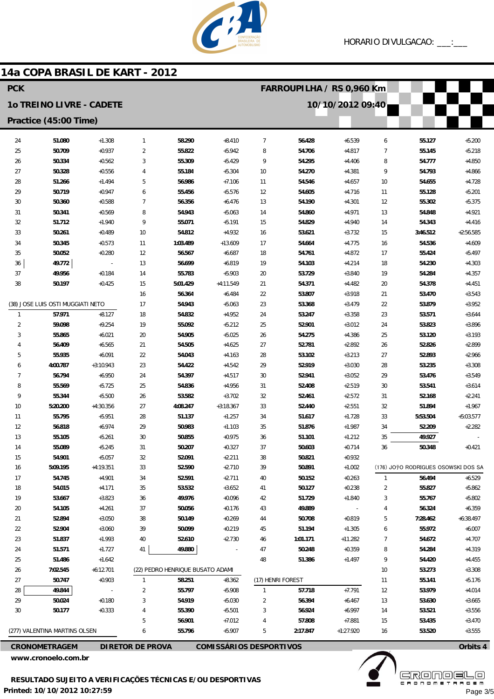

### 14a COPA BRASIL DE KART - 2012

| <b>PCK</b>            |                                   |                      |                         |                                  |                                |                | FARROUPILHA / RS 0,960 Km |                      |                |                                     |                      |  |  |
|-----------------------|-----------------------------------|----------------------|-------------------------|----------------------------------|--------------------------------|----------------|---------------------------|----------------------|----------------|-------------------------------------|----------------------|--|--|
|                       | <b>10 TREINO LIVRE - CADETE</b>   |                      |                         |                                  |                                |                |                           | 10/10/2012 09:40     |                |                                     |                      |  |  |
| Practice (45:00 Time) |                                   |                      |                         |                                  |                                |                |                           |                      |                |                                     |                      |  |  |
| 24                    | 51.080                            | $+1.308$             | $\mathbf{1}$            | 58.290                           | $+8.410$                       | $\overline{7}$ | 56.428                    | $+6.539$             | 6              | 55.127                              | $+5.200$             |  |  |
| 25                    | 50.709                            | $+0.937$             | $\overline{2}$          | 55.822                           | $+5.942$                       | 8              | 54.706                    | $+4.817$             | $\overline{7}$ | 55.145                              | $+5.218$             |  |  |
| 26                    | 50.334                            | $+0.562$             | 3                       | 55.309                           | $+5.429$                       | 9              | 54.295                    | $+4.406$             | 8              | 54.777                              | $+4.850$             |  |  |
| 27                    | 50.328                            | $+0.556$             | 4                       | 55.184                           | $+5.304$                       | 10             | 54.270                    | $+4.381$             | 9              | 54.793                              | $+4.866$             |  |  |
| 28                    | 51.266                            | $+1.494$             | 5                       | 56.986                           | $+7.106$                       | 11             | 54.546                    | $+4.657$             | 10             | 54.655                              | $+4.728$             |  |  |
| 29                    | 50.719                            | $+0.947$             | 6                       | 55.456                           | $+5.576$                       | 12             | 54.605                    | $+4.716$             | 11             | 55.128                              | $+5.201$             |  |  |
| 30                    | 50.360                            | $+0.588$             | $\overline{7}$          | 56.356                           | $+6.476$                       | 13             | 54.190                    | $+4.301$             | 12             | 55.302                              | $+5.375$             |  |  |
| 31                    | 50.341                            | $+0.569$             | 8                       | 54.943                           | $+5.063$                       | 14             | 54.860                    | $+4.971$             | 13             | 54.848                              | $+4.921$             |  |  |
| 32                    | 51.712                            | $+1.940$             | 9                       | 55.071                           | $+5.191$                       | 15             | 54.829                    | $+4.940$             | 14             | 54.343                              | $+4.416$             |  |  |
| 33                    | 50.261                            | $+0.489$             | 10                      | 54.812                           | $+4.932$                       | 16             | 53.621                    | $+3.732$             | 15             | 3:46.512                            | $+2:56.585$          |  |  |
| 34                    | 50.345                            | $+0.573$             | 11                      | 1:03.489                         | $+13.609$                      | 17             | 54.664                    | $+4.775$             | 16             | 54.536                              | $+4.609$             |  |  |
| 35                    | 50.052                            | $+0.280$             | 12                      | 56.567                           | $+6.687$                       | 18             | 54.761                    | $+4.872$             | 17             | 55.424                              | $+5.497$             |  |  |
| 36                    | 49.772                            | $\overline{a}$       | 13                      | 56.699                           | $+6.819$                       | 19             | 54.103                    | $+4.214$             | 18             | 54.230                              | $+4.303$             |  |  |
| 37                    | 49.956                            | $+0.184$             | 14                      | 55.783                           | $+5.903$                       | 20             | 53.729                    | $+3.840$             | 19             | 54.284                              | $+4.357$             |  |  |
| 38                    | 50.197                            | $+0.425$             | 15                      | 5:01.429                         | $+4:11.549$                    | 21             | 54.371                    | $+4.482$             | 20             | 54.378                              | $+4.451$             |  |  |
|                       | (38) JOSE LUIS OSTI MUGGIATI NETO |                      | 16<br>17                | 56.364<br>54.943                 | $+6.484$<br>$+5.063$           | 22<br>23       | 53.807<br>53.368          | $+3.918$<br>$+3.479$ | 21<br>22       | 53.470<br>53.879                    | $+3.543$<br>$+3.952$ |  |  |
| $\mathbf{1}$          | 57.971                            | $+8.127$             | 18                      | 54.832                           | $+4.952$                       | 24             | 53.247                    | $+3.358$             | 23             | 53.571                              | $+3.644$             |  |  |
| $\overline{2}$        | 59.098                            | $+9.254$             | 19                      | 55.092                           | $+5.212$                       | 25             | 52.901                    | $+3.012$             | 24             | 53.823                              | $+3.896$             |  |  |
| 3                     | 55.865                            | $+6.021$             | 20                      | 54.905                           | $+5.025$                       | 26             | 54.275                    | $+4.386$             | 25             | 53.120                              | $+3.193$             |  |  |
| 4                     | 56.409                            | $+6.565$             | 21                      | 54.505                           | $+4.625$                       | 27             | 52.781                    | $+2.892$             | 26             | 52.826                              | $+2.899$             |  |  |
| 5                     | 55.935                            | $+6.091$             | 22                      | 54.043                           | $+4.163$                       | 28             | 53.102                    | $+3.213$             | 27             | 52.893                              | $+2.966$             |  |  |
| 6                     | 4:00.787                          | $+3:10.943$          | 23                      | 54.422                           | $+4.542$                       | 29             | 52.919                    | $+3.030$             | 28             | 53.235                              | $+3.308$             |  |  |
| 7                     | 56.794                            | $+6.950$             | 24                      | 54.397                           | $+4.517$                       | 30             | 52.941                    | $+3.052$             | 29             | 53.476                              | $+3.549$             |  |  |
| 8                     | 55.569                            | $+5.725$             | 25                      | 54.836                           | $+4.956$                       | 31             | 52.408                    | $+2.519$             | 30             | 53.541                              | $+3.614$             |  |  |
| 9                     | 55.344                            | $+5.500$             | 26                      | 53.582                           | $+3.702$                       | 32             | 52.461                    | $+2.572$             | 31             | 52.168                              | $+2.241$             |  |  |
| 10                    | 5:20.200                          | $+4:30.356$          | 27                      | 4:08.247                         | $+3:18.367$                    | 33             | 52.440                    | $+2.551$             | 32             | 51.894                              | $+1.967$             |  |  |
| 11                    | 55.795                            | $+5.951$             | 28                      | 51.137                           | $+1.257$                       | 34             | 51.617                    | $+1.728$             | 33             | 5:53.504                            | $+5:03.577$          |  |  |
| 12                    | 56.818                            | $+6.974$             | 29                      | 50.983                           | $+1.103$                       | 35             | 51.876                    | $+1.987$             | 34             | 52.209                              | $+2.282$             |  |  |
| 13                    | 55.105                            | $+5.261$             | 30                      | 50.855                           | $+0.975$                       | 36             | 51.101                    | $+1.212$             | 35             | 49.927                              |                      |  |  |
| 14                    | 55.089                            | $+5.245$             | 31                      | 50.207                           | $+0.327$                       | 37             | 50.603                    | $+0.714$             | 36             | 50.348                              | $+0.421$             |  |  |
| 15                    | 54.901                            | $+5.057$             | 32                      | 52.091                           | $+2.211$                       | 38             | 50.821                    | $+0.932$             |                |                                     |                      |  |  |
| 16                    | 5:09.195                          | $+4:19.351$          | 33                      | 52.590                           | $+2.710$                       | 39             | 50.891                    | $+1.002$             |                | (176) JO7O RODRIGUES OSOWSKI DOS SA |                      |  |  |
| 17                    | 54.745                            | $+4.901$             | 34                      | 52.591                           | $+2.711$                       | 40             | 50.152                    | $+0.263$             | $\mathbf{1}$   | 56.494                              | $+6.529$             |  |  |
| 18                    | 54.015                            | $+4.171$             | 35                      | 53.532                           | $+3.652$                       | 41             | 50.127                    | $+0.238$             | 2              | 55.827                              | $+5.862$             |  |  |
| 19<br>20              | 53.667<br>54.105                  | $+3.823$<br>$+4.261$ | 36<br>37                | 49.976<br>50.056                 | $+0.096$<br>$+0.176$           | 42<br>43       | 51.729<br>49.889          | $+1.840$             | 3<br>4         | 55.767<br>56.324                    | $+5.802$<br>$+6.359$ |  |  |
| 21                    | 52.894                            | $+3.050$             | 38                      | 50.149                           | $+0.269$                       | 44             | 50.708                    | $+0.819$             | 5              | 7:28.462                            | $+6:38.497$          |  |  |
| 22                    | 52.904                            | $+3.060$             | 39                      | 50.099                           | $+0.219$                       | 45             | 51.194                    | $+1.305$             | 6              | 55.972                              | $+6.007$             |  |  |
| 23                    | 51.837                            | $+1.993$             | 40                      | 52.610                           | $+2.730$                       | 46             | 1:01.171                  | $+11.282$            | 7              | 54.672                              | $+4.707$             |  |  |
| 24                    | 51.571                            | $+1.727$             | 41                      | 49.880                           |                                | 47             | 50.248                    | $+0.359$             | 8              | 54.284                              | $+4.319$             |  |  |
| 25                    | 51.486                            | $+1.642$             |                         |                                  |                                | 48             | 51.386                    | $+1.497$             | 9              | 54.420                              | $+4.455$             |  |  |
| 26                    | 7:02.545                          | $+6:12.701$          |                         | (22) PEDRO HENRIQUE BUSATO ADAMI |                                |                |                           |                      | 10             | 53.273                              | $+3.308$             |  |  |
| 27                    | 50.747                            | $+0.903$             | $\mathbf{1}$            | 58.251                           | $+8.362$                       |                | (17) HENRI FOREST         |                      | 11             | 55.141                              | $+5.176$             |  |  |
| 28                    | 49.844                            |                      | 2                       | 55.797                           | $+5.908$                       | $\mathbf{1}$   | 57.718                    | $+7.791$             | 12             | 53.979                              | $+4.014$             |  |  |
| 29                    | 50.024                            | $+0.180$             | 3                       | 54.919                           | $+5.030$                       | 2              | 56.394                    | $+6.467$             | 13             | 53.630                              | $+3.665$             |  |  |
| 30                    | 50.177                            | $+0.333$             | 4                       | 55.390                           | $+5.501$                       | 3              | 56.924                    | $+6.997$             | 14             | 53.521                              | $+3.556$             |  |  |
|                       |                                   |                      | 5                       | 56.901                           | $+7.012$                       | 4              | 57.808                    | $+7.881$             | 15             | 53.435                              | $+3.470$             |  |  |
|                       | (277) VALENTINA MARTINS OLSEN     |                      | 6                       | 55.796                           | $+5.907$                       | 5              | 2:17.847                  | $+1:27.920$          | 16             | 53.520                              | $+3.555$             |  |  |
|                       | <b>CRONOMETRAGEM</b>              |                      | <b>DIRETOR DE PROVA</b> |                                  | <b>COMISSÁRIOS DESPORTIVOS</b> |                |                           |                      |                |                                     | Orbits 4             |  |  |

www.cronoelo.com.br

**EKÖUÖËËË** Page 3/5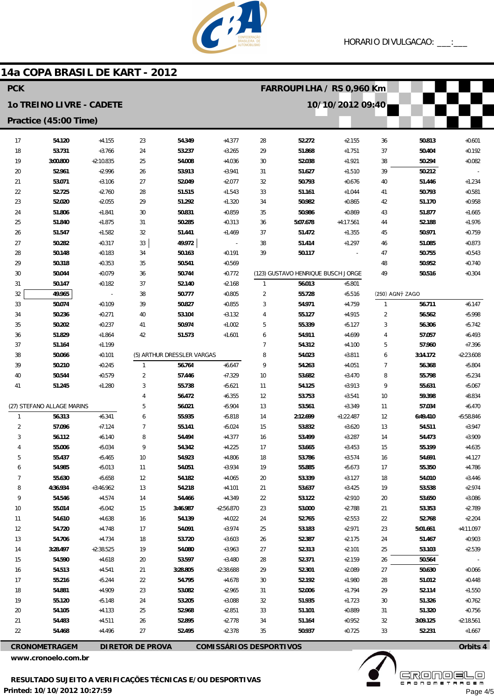

 $+0.601$ 

 $+0.192$ 

 $+0.082$ 

 $+1.234$ 

 $+0.581$ 

 $+0.958$ 

 $+1.665$ 

 $+1.976$ 

 $+0.759$ 

 $+0.873$ 

 $+0.543$ 

 $+0.740$ 

 $+0.304$ 

 $+6.147$ 

 $+5.998$ 

 $+5.742$ 

 $+6.493$ 

 $+7.396$ 

 $+5.804$ 

 $+5.234$ 

 $+5.067$ 

 $+8.834$ 

 $+6.470$ 

 $+3.947$ 

 $+3.909$ 

 $+4.635$ 

 $+4.127$ 

 $+4.786$ 

 $+3.446$ 

 $+2974$ 

 $+3.086$ 

 $+2.789$ 

 $+2.204$ 

 $+0.903$ 

 $+2.539$ 

 $+0.066$ 

 $+0.448$ 

 $+1.550$ 

 $+0.762$ 

 $+0.756$ 

 $+2:18.561$ 

3:09.125

52.231

 $+4:11.097$ 

 $+5:58.846$ 

 $+2.23608$ 

**FARROUPILHA / RS 0.960 Km** 

### **10 TREINO LIVRE - CADETE** 10/10/2012 09:40 Practice (45:00 Time)  $+4155$  $17$ 54.120  $23$ 54.349  $+4.377$  $28$ 52.272 50.813  $+2155$ 36 18 53.731  $+3.766$ 24 53.237  $+3.265$ 29 51.868  $+1.751$  $37$ 50.404  $19$ 3:00.800  $+2:10.835$ 25 54.008  $+4.036$  $30$ 52.038  $+1.921$ 38 50.294 50212  $20$ 52961  $+2996$  $26$ 52.012  $+3941$  $31$ 51627  $+1510$ 39 53.071 52.049 50.793 40 51.446 21  $+3.106$  $27$  $+2.077$ 32  $+0.676$  $22$ 52.725  $+2.760$ 51.515 33 50.793 28  $+1.543$ 51.161  $+1.044$ 41 23 52.020  $+2.055$ 29 51.292  $+1.320$ 34 50.982  $+0.865$  $42$ 51.170 24 51.806  $+1.841$ 30 50.831  $+0.859$ 35 50.986  $+0.869$ 43 51.877 5:07.678  $25$ 51840  $+1.875$  $31$ 50285  $+0.313$ 36  $+4.17561$  $\overline{44}$ 52188  $26$ 51.547  $+1.582$  $32$ 51.441  $+1.469$ 37 51.472  $+1.355$ 45 50.971  $27$ 50282  $+0.317$ 49 9 72 38 51414  $+1.297$ 51.085  $33$  $46$ 50.117 50.163 39  $28$ 50148  $+0.183$  $34$  $+0.191$  $\Delta$ 7 50755 29 50.318  $+0.353$ 35 50.541 50.952  $+0.569$ 48 (123) GUSTAVO HENRIQUE BUSCH JORGE  $30$ 50.044  $+0.079$ 50.744  $+0.772$ 49 50.516 36  $31$ 50.147  $+0.182$  $37$ 52.140  $+2.168$ 56.013  $+5.801$  $\mathbf{1}$  $32$ 50.777  $\overline{2}$ 49.965  $+0.805$ 55.728  $+5.516$ (250) AGN<sub>7</sub> ZAGO 38  $33$ 50.074  $+0.109$  $39$ 50827  $+0.855$  $\overline{\mathbf{3}}$ 54 971  $+4759$  $\overline{1}$ 56.711  $34$ 50.236  $+0.271$  $40$ 53.104  $+3.132$  $\overline{4}$ 55.127  $+4.915$  $\overline{\mathcal{L}}$ 56.562  $\overline{5}$ 35 50.202  $41$ 50.974  $+1.002$ 55.339  $\overline{3}$ 56,306  $+0.237$  $+5.127$  $26$ 51829  $+1864$  $\Delta$ 2 51573  $+1.601$  $\overline{6}$ 54 911  $+469$  $\Lambda$ 57.057 37  $+1.199$  $\overline{7}$ 54.312 57.960 51.164  $+4.100$ 5 (5) ARTHUR DRESSLER VARGAS  $\mathbf{a}$ 54023 38  $+3.811$  $3.14172$ 50.066  $+0.101$  $\overline{a}$ 50.210 56.764  $+6.647$  $\mathsf{g}% _{T}=\mathsf{g}_{T}$ 54.263 39  $+0.245$  $\overline{1}$  $+4.051$  $\overline{1}$ 56.368  $\overline{2}$ 57.446  $10$ 53.682 55.798  $40$ 50.544  $+0.579$  $+7.329$  $+3.470$ 8  $\overline{3}$ 55 738  $\overline{41}$ 51.245  $+1.280$  $+5621$  $11$ 54 125  $+3913$ q 55631  $\overline{4}$ 56.472  $+6.355$  $12$ 53.753  $+3.541$  $10$ 59.398 (27) STEFANO ALLAGE MARINS  $\overline{5}$ 56.021 53.561  $+3.349$ 57.034  $+5904$  $13$  $11$  $\overline{1}$ 56.313  $+6.341$  $\ddot{\mathbf{6}}$ 55.935  $+5.818$  $+1:22.487$ 6:49.410 14 2:12.699  $12$  $\overline{2}$ 57.096  $+7.124$  $\overline{7}$ 55.141  $+5.024$ 15 53.832 54.511  $+3.620$  $13$  $\mathbf{3}$ 56.112  $+6.140$ 8 54.494  $+4.377$ 16 53.499  $+3.287$ 14 54.473  $\overline{4}$ 55.006  $+5.034$ 9 54.342  $+4.225$  $17$ 53.665  $+3.453$ 15 55.199 5 55.437  $+5.465$  $10$ 54.923  $+4.806$ 18 53.786  $+3.574$ 54.691 16  $\ddot{\mathbf{6}}$ 54.985  $+5.013$  $11$ 54.051  $+3.934$ 19 55.885  $+5.673$  $17$ 55.350  $\overline{7}$ 55.630  $+5.658$  $12$ 54.182  $+4.065$  $20$ 53.339  $+3.127$ 18 54.010  $\mathbf{g}$ 54.218 4:36.934  $+3.46962$  $13$  $+4101$  $21$ 53.637  $+3425$ 19 53.538  $\overline{Q}$ 54546 54.466  $+4.349$  $22$  $+2.910$  $+4.574$ 14 53.122  $20$ 53.650  $10$ 55.014  $+5.042$ 15 3:46.987  $+2:56.870$  $23$ 53.000  $+2.788$  $21$ 53.353  $11$ 54.610  $+4.638$  $16$ 54.139  $+4.022$ 24 52.765  $+2.553$ 22 52.768 54.720  $12$  $+4.748$  $17$ 54.091  $+3.974$ 25 53.183  $+2.971$  $23$ 5:01.661  $13$ 54.706  $+4734$ 18 53.720  $+3603$  $26$ 52.387  $+2175$  $24$ 51.467  $14$ 3:28.497  $+2:38.525$ 19 54.080  $+3.963$  $27$ 52.313  $+2.101$ 25 53.103  $15$ 54.590  $+4618$  $\overline{20}$ 53.597  $+3.480$  $28$ 52.371  $+2.159$  $26$ 50.564 50.630  $16$ 54513  $+4541$  $21$  $3.28805$  $+2.3868$  $29$ 52301  $+2.089$  $27$  $17$ 55.216  $+5.244$ 22 54.795 52.192  $+1.980$ 28 51.012  $+4.678$  $30$ 18 54.881  $+4.909$ 23 53.082  $+2.965$  $31$ 52.006  $+1.794$ 29 52.114 19 55.120  $+5.148$ 24 53.205  $+3.088$  $32$ 51935  $+1.723$  $30$ 51.326  $20$ 54.105  $+4133$  $25$ 52.968  $+2851$  $33$ 51.101  $+0.889$  $31$ 51.320

**CRONOMETRAGEM** 

54.483

54.468

 $21$ 

 $\overline{\mathfrak{D}}$ 

**DIRETOR DE PROVA** 

 $+4511$ 

 $+4.496$ 

14a COPA BRASIL DE KART - 2012

**PCK** 

**COMISSÁRIOS DESPORTIVOS** 

34

 $35$ 

51.164

50.937

 $+2778$ 

 $+2.378$ 

www.cronoelo.com.br

 $26$ 

 $27$ 

52.895

52.495



32

 $33$ 

 $+0.952$ 

 $+0.725$ 

 $+1.667$ 

Page 4/5